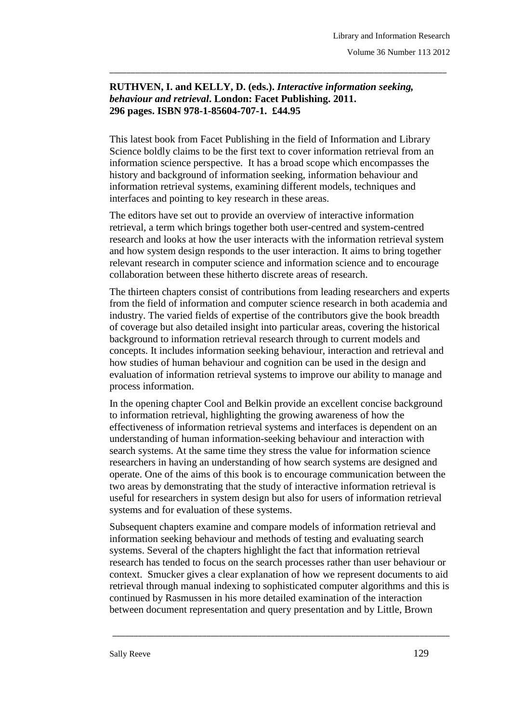## **RUTHVEN, I. and KELLY, D. (eds.).** *Interactive information seeking, behaviour and retrieval***. London: Facet Publishing. 2011. 296 pages. ISBN 978-1-85604-707-1. £44.95**

\_\_\_\_\_\_\_\_\_\_\_\_\_\_\_\_\_\_\_\_\_\_\_\_\_\_\_\_\_\_\_\_\_\_\_\_\_\_\_\_\_\_\_\_\_\_\_\_\_\_\_\_\_\_\_\_\_\_\_\_\_\_\_\_\_\_\_\_\_\_\_\_\_\_\_\_\_\_\_

This latest book from Facet Publishing in the field of Information and Library Science boldly claims to be the first text to cover information retrieval from an information science perspective. It has a broad scope which encompasses the history and background of information seeking, information behaviour and information retrieval systems, examining different models, techniques and interfaces and pointing to key research in these areas.

The editors have set out to provide an overview of interactive information retrieval, a term which brings together both user-centred and system-centred research and looks at how the user interacts with the information retrieval system and how system design responds to the user interaction. It aims to bring together relevant research in computer science and information science and to encourage collaboration between these hitherto discrete areas of research.

The thirteen chapters consist of contributions from leading researchers and experts from the field of information and computer science research in both academia and industry. The varied fields of expertise of the contributors give the book breadth of coverage but also detailed insight into particular areas, covering the historical background to information retrieval research through to current models and concepts. It includes information seeking behaviour, interaction and retrieval and how studies of human behaviour and cognition can be used in the design and evaluation of information retrieval systems to improve our ability to manage and process information.

In the opening chapter Cool and Belkin provide an excellent concise background to information retrieval, highlighting the growing awareness of how the effectiveness of information retrieval systems and interfaces is dependent on an understanding of human information-seeking behaviour and interaction with search systems. At the same time they stress the value for information science researchers in having an understanding of how search systems are designed and operate. One of the aims of this book is to encourage communication between the two areas by demonstrating that the study of interactive information retrieval is useful for researchers in system design but also for users of information retrieval systems and for evaluation of these systems.

Subsequent chapters examine and compare models of information retrieval and information seeking behaviour and methods of testing and evaluating search systems. Several of the chapters highlight the fact that information retrieval research has tended to focus on the search processes rather than user behaviour or context. Smucker gives a clear explanation of how we represent documents to aid retrieval through manual indexing to sophisticated computer algorithms and this is continued by Rasmussen in his more detailed examination of the interaction between document representation and query presentation and by Little, Brown

\_\_\_\_\_\_\_\_\_\_\_\_\_\_\_\_\_\_\_\_\_\_\_\_\_\_\_\_\_\_\_\_\_\_\_\_\_\_\_\_\_\_\_\_\_\_\_\_\_\_\_\_\_\_\_\_\_\_\_\_\_\_\_\_\_\_\_\_\_\_\_\_\_\_\_\_\_\_\_